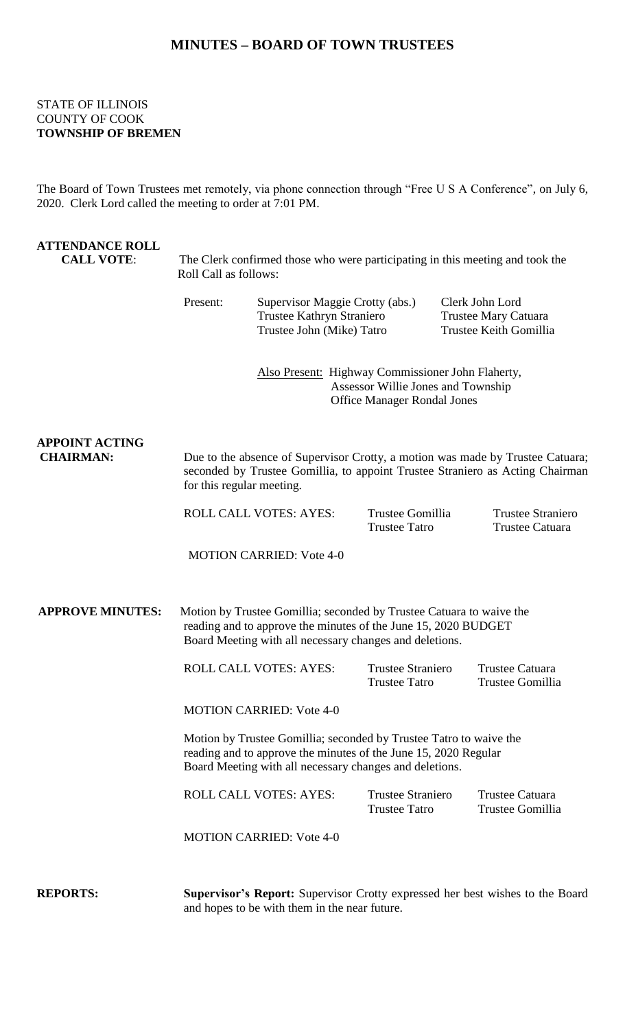# **MINUTES – BOARD OF TOWN TRUSTEES**

## STATE OF ILLINOIS COUNTY OF COOK **TOWNSHIP OF BREMEN**

The Board of Town Trustees met remotely, via phone connection through "Free U S A Conference", on July 6, 2020. Clerk Lord called the meeting to order at 7:01 PM.

| <b>ATTENDANCE ROLL</b><br><b>CALL VOTE:</b> | The Clerk confirmed those who were participating in this meeting and took the<br>Roll Call as follows:                                                                                            |                                                                                                                                                                                              |                                                  |  |                                                                   |  |
|---------------------------------------------|---------------------------------------------------------------------------------------------------------------------------------------------------------------------------------------------------|----------------------------------------------------------------------------------------------------------------------------------------------------------------------------------------------|--------------------------------------------------|--|-------------------------------------------------------------------|--|
|                                             | Present:                                                                                                                                                                                          | Supervisor Maggie Crotty (abs.)<br>Trustee Kathryn Straniero<br>Trustee John (Mike) Tatro                                                                                                    |                                                  |  | Clerk John Lord<br>Trustee Mary Catuara<br>Trustee Keith Gomillia |  |
|                                             | Also Present: Highway Commissioner John Flaherty,<br>Assessor Willie Jones and Township<br><b>Office Manager Rondal Jones</b>                                                                     |                                                                                                                                                                                              |                                                  |  |                                                                   |  |
| <b>APPOINT ACTING</b><br><b>CHAIRMAN:</b>   |                                                                                                                                                                                                   | Due to the absence of Supervisor Crotty, a motion was made by Trustee Catuara;<br>seconded by Trustee Gomillia, to appoint Trustee Straniero as Acting Chairman<br>for this regular meeting. |                                                  |  |                                                                   |  |
|                                             |                                                                                                                                                                                                   | <b>ROLL CALL VOTES: AYES:</b>                                                                                                                                                                | Trustee Gomillia<br><b>Trustee Tatro</b>         |  | <b>Trustee Straniero</b><br><b>Trustee Catuara</b>                |  |
|                                             |                                                                                                                                                                                                   | <b>MOTION CARRIED: Vote 4-0</b>                                                                                                                                                              |                                                  |  |                                                                   |  |
| <b>APPROVE MINUTES:</b>                     | Motion by Trustee Gomillia; seconded by Trustee Catuara to waive the<br>reading and to approve the minutes of the June 15, 2020 BUDGET<br>Board Meeting with all necessary changes and deletions. |                                                                                                                                                                                              |                                                  |  |                                                                   |  |
|                                             |                                                                                                                                                                                                   | <b>ROLL CALL VOTES: AYES:</b>                                                                                                                                                                | <b>Trustee Straniero</b><br><b>Trustee Tatro</b> |  | <b>Trustee Catuara</b><br>Trustee Gomillia                        |  |
|                                             | <b>MOTION CARRIED: Vote 4-0</b>                                                                                                                                                                   |                                                                                                                                                                                              |                                                  |  |                                                                   |  |
|                                             | Motion by Trustee Gomillia; seconded by Trustee Tatro to waive the<br>reading and to approve the minutes of the June 15, 2020 Regular<br>Board Meeting with all necessary changes and deletions.  |                                                                                                                                                                                              |                                                  |  |                                                                   |  |
|                                             |                                                                                                                                                                                                   | <b>ROLL CALL VOTES: AYES:</b>                                                                                                                                                                | <b>Trustee Straniero</b><br><b>Trustee Tatro</b> |  | <b>Trustee Catuara</b><br>Trustee Gomillia                        |  |
|                                             |                                                                                                                                                                                                   | <b>MOTION CARRIED: Vote 4-0</b>                                                                                                                                                              |                                                  |  |                                                                   |  |
| <b>REPORTS:</b>                             |                                                                                                                                                                                                   | Supervisor's Report: Supervisor Crotty expressed her best wishes to the Board<br>and hopes to be with them in the near future.                                                               |                                                  |  |                                                                   |  |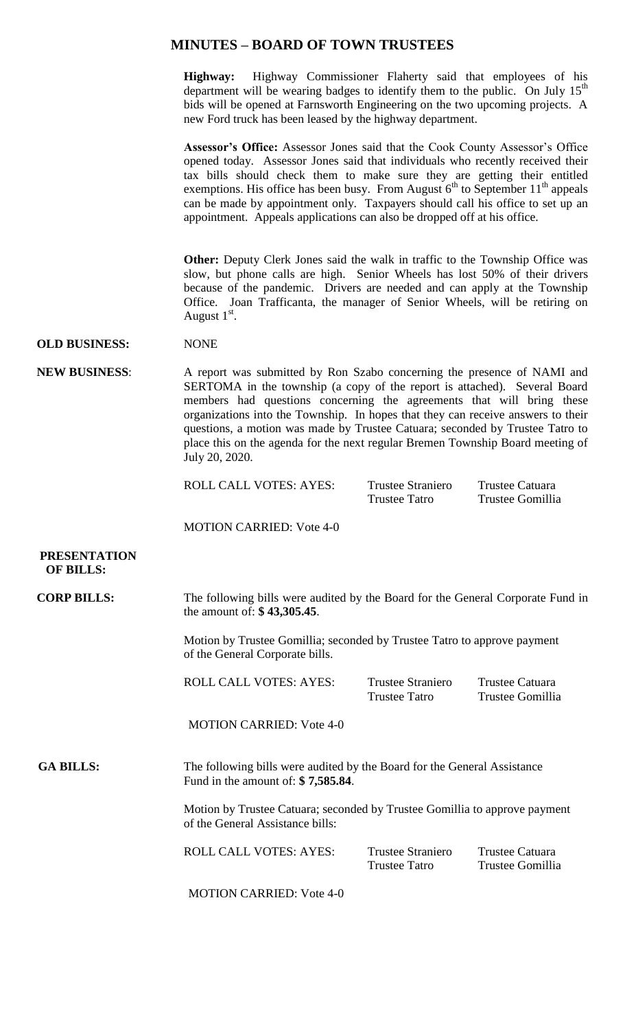## **MINUTES – BOARD OF TOWN TRUSTEES**

**Highway:** Highway Commissioner Flaherty said that employees of his department will be wearing badges to identify them to the public. On July  $15<sup>th</sup>$ bids will be opened at Farnsworth Engineering on the two upcoming projects. A new Ford truck has been leased by the highway department.

**Assessor's Office:** Assessor Jones said that the Cook County Assessor's Office opened today. Assessor Jones said that individuals who recently received their tax bills should check them to make sure they are getting their entitled exemptions. His office has been busy. From August  $6<sup>th</sup>$  to September 11<sup>th</sup> appeals can be made by appointment only. Taxpayers should call his office to set up an appointment. Appeals applications can also be dropped off at his office.

**Other:** Deputy Clerk Jones said the walk in traffic to the Township Office was slow, but phone calls are high. Senior Wheels has lost 50% of their drivers because of the pandemic. Drivers are needed and can apply at the Township Office. Joan Trafficanta, the manager of Senior Wheels, will be retiring on August  $1<sup>st</sup>$ .

#### **OLD BUSINESS:** NONE

**NEW BUSINESS**: A report was submitted by Ron Szabo concerning the presence of NAMI and SERTOMA in the township (a copy of the report is attached). Several Board members had questions concerning the agreements that will bring these organizations into the Township. In hopes that they can receive answers to their questions, a motion was made by Trustee Catuara; seconded by Trustee Tatro to place this on the agenda for the next regular Bremen Township Board meeting of July 20, 2020.

ROLL CALL VOTES: AYES: Trustee Straniero Trustee Catuara

Trustee Tatro Trustee Gomillia

MOTION CARRIED: Vote 4-0

### **PRESENTATION OF BILLS:**

| <b>CORP BILLS:</b> | The following bills were audited by the Board for the General Corporate Fund in |
|--------------------|---------------------------------------------------------------------------------|
|                    | the amount of: $$ 43,305.45$ .                                                  |
|                    |                                                                                 |

Motion by Trustee Gomillia; seconded by Trustee Tatro to approve payment of the General Corporate bills.

| ROLL CALL VOTES: AYES: | Trustee Straniero | Trustee Catuara  |
|------------------------|-------------------|------------------|
|                        | Trustee Tatro     | Trustee Gomillia |

MOTION CARRIED: Vote 4-0

GA BILLS: The following bills were audited by the Board for the General Assistance Fund in the amount of: **\$ 7,585.84**.

> Motion by Trustee Catuara; seconded by Trustee Gomillia to approve payment of the General Assistance bills:

| ROLL CALL VOTES: AYES: | Trustee Straniero | Trustee Catuara  |  |
|------------------------|-------------------|------------------|--|
|                        | Trustee Tatro     | Trustee Gomillia |  |

MOTION CARRIED: Vote 4-0